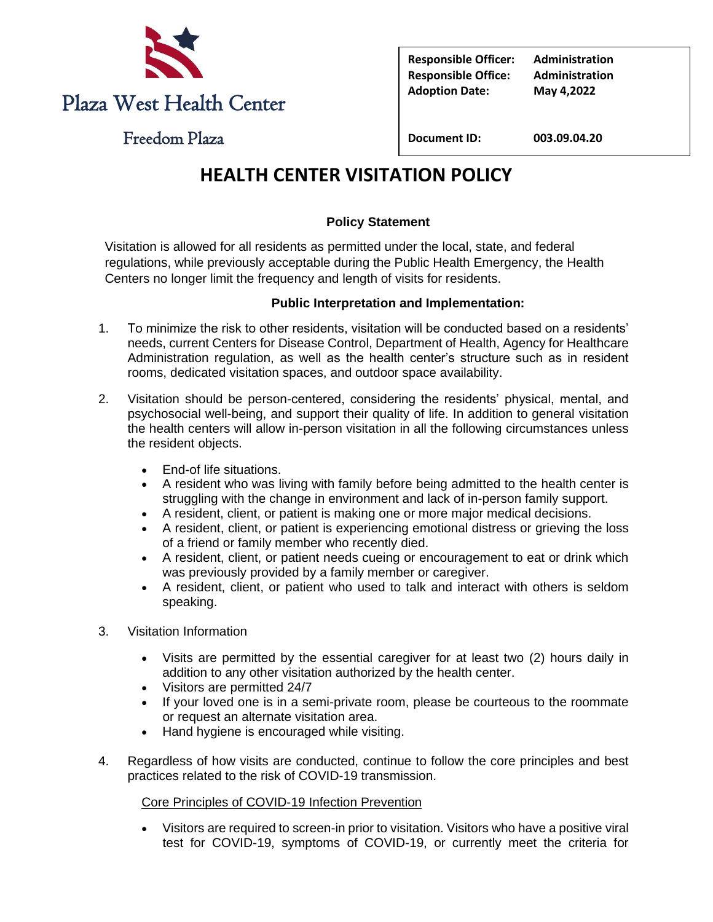

**Responsible Officer: Administration Responsible Office: Administration Adoption Date: May 4,2022**

Freedom Plaza

**Document ID: 003.09.04.20**

# **HEALTH CENTER VISITATION POLICY**

## **Policy Statement**

Visitation is allowed for all residents as permitted under the local, state, and federal regulations, while previously acceptable during the Public Health Emergency, the Health Centers no longer limit the frequency and length of visits for residents.

### **Public Interpretation and Implementation:**

- 1. To minimize the risk to other residents, visitation will be conducted based on a residents' needs, current Centers for Disease Control, Department of Health, Agency for Healthcare Administration regulation, as well as the health center's structure such as in resident rooms, dedicated visitation spaces, and outdoor space availability.
- 2. Visitation should be person-centered, considering the residents' physical, mental, and psychosocial well-being, and support their quality of life. In addition to general visitation the health centers will allow in-person visitation in all the following circumstances unless the resident objects.
	- End-of life situations.
	- A resident who was living with family before being admitted to the health center is struggling with the change in environment and lack of in-person family support.
	- A resident, client, or patient is making one or more major medical decisions.
	- A resident, client, or patient is experiencing emotional distress or grieving the loss of a friend or family member who recently died.
	- A resident, client, or patient needs cueing or encouragement to eat or drink which was previously provided by a family member or caregiver.
	- A resident, client, or patient who used to talk and interact with others is seldom speaking.
- 3. Visitation Information
	- Visits are permitted by the essential caregiver for at least two (2) hours daily in addition to any other visitation authorized by the health center.
	- Visitors are permitted 24/7
	- If your loved one is in a semi-private room, please be courteous to the roommate or request an alternate visitation area.
	- Hand hygiene is encouraged while visiting.
- 4. Regardless of how visits are conducted, continue to follow the core principles and best practices related to the risk of COVID-19 transmission.

### Core Principles of COVID-19 Infection Prevention

• Visitors are required to screen-in prior to visitation. Visitors who have a positive viral test for COVID-19, symptoms of COVID-19, or currently meet the criteria for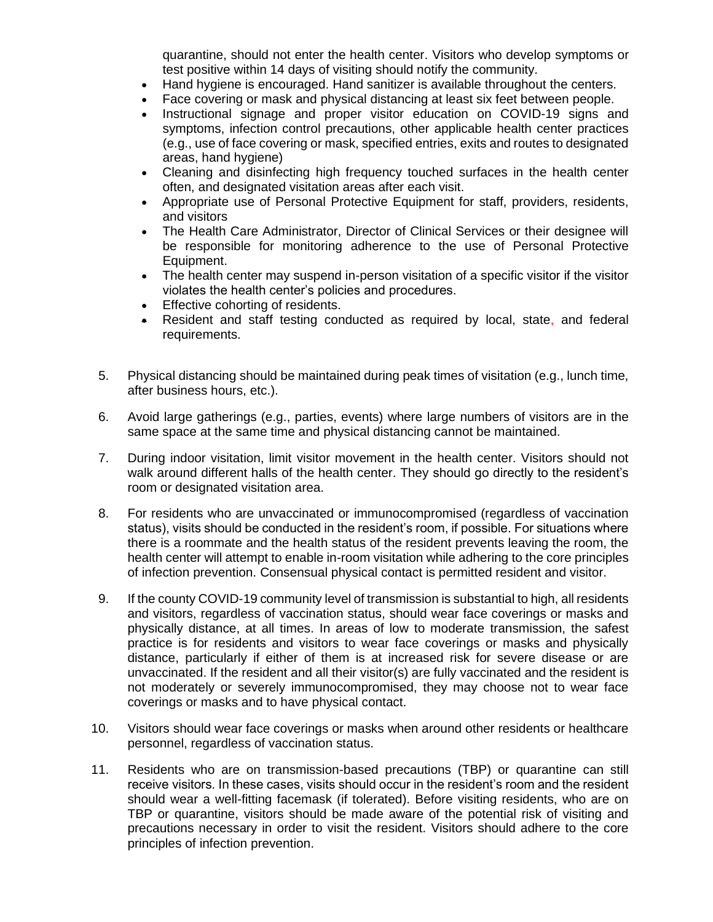quarantine, should not enter the health center. Visitors who develop symptoms or test positive within 14 days of visiting should notify the community.

- Hand hygiene is encouraged. Hand sanitizer is available throughout the centers.
- Face covering or mask and physical distancing at least six feet between people.
- Instructional signage and proper visitor education on COVID-19 signs and symptoms, infection control precautions, other applicable health center practices (e.g., use of face covering or mask, specified entries, exits and routes to designated areas, hand hygiene)
- Cleaning and disinfecting high frequency touched surfaces in the health center often, and designated visitation areas after each visit.
- Appropriate use of Personal Protective Equipment for staff, providers, residents, and visitors
- The Health Care Administrator, Director of Clinical Services or their designee will be responsible for monitoring adherence to the use of Personal Protective Equipment.
- The health center may suspend in-person visitation of a specific visitor if the visitor violates the health center's policies and procedures.
- Effective cohorting of residents.
- Resident and staff testing conducted as required by local, state, and federal requirements.
- 5. Physical distancing should be maintained during peak times of visitation (e.g., lunch time, after business hours, etc.).
- 6. Avoid large gatherings (e.g., parties, events) where large numbers of visitors are in the same space at the same time and physical distancing cannot be maintained.
- 7. During indoor visitation, limit visitor movement in the health center. Visitors should not walk around different halls of the health center. They should go directly to the resident's room or designated visitation area.
- 8. For residents who are unvaccinated or immunocompromised (regardless of vaccination status), visits should be conducted in the resident's room, if possible. For situations where there is a roommate and the health status of the resident prevents leaving the room, the health center will attempt to enable in-room visitation while adhering to the core principles of infection prevention. Consensual physical contact is permitted resident and visitor.
- 9. If the county COVID-19 community level of transmission is substantial to high, all residents and visitors, regardless of vaccination status, should wear face coverings or masks and physically distance, at all times. In areas of low to moderate transmission, the safest practice is for residents and visitors to wear face coverings or masks and physically distance, particularly if either of them is at increased risk for severe disease or are unvaccinated. If the resident and all their visitor(s) are fully vaccinated and the resident is not moderately or severely immunocompromised, they may choose not to wear face coverings or masks and to have physical contact.
- 10. Visitors should wear face coverings or masks when around other residents or healthcare personnel, regardless of vaccination status.
- 11. Residents who are on transmission-based precautions (TBP) or quarantine can still receive visitors. In these cases, visits should occur in the resident's room and the resident should wear a well-fitting facemask (if tolerated). Before visiting residents, who are on TBP or quarantine, visitors should be made aware of the potential risk of visiting and precautions necessary in order to visit the resident. Visitors should adhere to the core principles of infection prevention.